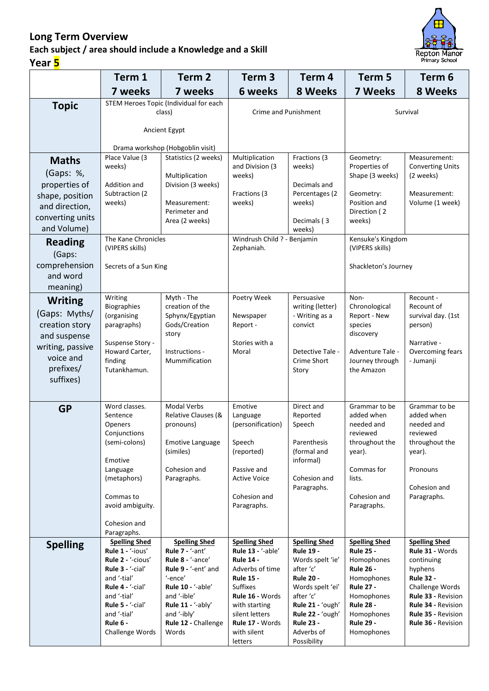## **Long Term Overview**

## **Each subject / area should include a Knowledge and a Skill Year 5**



|                                                                                                                              | Term 1                                                                                                                                                                                                   | Term <sub>2</sub>                                                                                                                                                                                     | Term <sub>3</sub>                                                                                                                                                                                                          | Term 4                                                                                                                                                                                                                  | Term 5                                                                                                                                                                                         | Term 6                                                                                                                                                                                                 |
|------------------------------------------------------------------------------------------------------------------------------|----------------------------------------------------------------------------------------------------------------------------------------------------------------------------------------------------------|-------------------------------------------------------------------------------------------------------------------------------------------------------------------------------------------------------|----------------------------------------------------------------------------------------------------------------------------------------------------------------------------------------------------------------------------|-------------------------------------------------------------------------------------------------------------------------------------------------------------------------------------------------------------------------|------------------------------------------------------------------------------------------------------------------------------------------------------------------------------------------------|--------------------------------------------------------------------------------------------------------------------------------------------------------------------------------------------------------|
|                                                                                                                              | 7 weeks                                                                                                                                                                                                  | 7 weeks                                                                                                                                                                                               | 6 weeks                                                                                                                                                                                                                    | 8 Weeks                                                                                                                                                                                                                 | <b>7 Weeks</b>                                                                                                                                                                                 | 8 Weeks                                                                                                                                                                                                |
| <b>Topic</b>                                                                                                                 | STEM Heroes Topic (Individual for each<br>class)                                                                                                                                                         |                                                                                                                                                                                                       | Crime and Punishment                                                                                                                                                                                                       |                                                                                                                                                                                                                         | Survival                                                                                                                                                                                       |                                                                                                                                                                                                        |
|                                                                                                                              | Ancient Egypt                                                                                                                                                                                            |                                                                                                                                                                                                       |                                                                                                                                                                                                                            |                                                                                                                                                                                                                         |                                                                                                                                                                                                |                                                                                                                                                                                                        |
|                                                                                                                              | Drama workshop (Hobgoblin visit)                                                                                                                                                                         |                                                                                                                                                                                                       |                                                                                                                                                                                                                            |                                                                                                                                                                                                                         |                                                                                                                                                                                                |                                                                                                                                                                                                        |
| <b>Maths</b><br>(Gaps: %,<br>properties of<br>shape, position                                                                | Place Value (3<br>weeks)<br>Addition and<br>Subtraction (2                                                                                                                                               | Statistics (2 weeks)<br>Multiplication<br>Division (3 weeks)                                                                                                                                          | Multiplication<br>and Division (3<br>weeks)<br>Fractions (3                                                                                                                                                                | Fractions (3<br>weeks)<br>Decimals and<br>Percentages (2                                                                                                                                                                | Geometry:<br>Properties of<br>Shape (3 weeks)<br>Geometry:                                                                                                                                     | Measurement:<br><b>Converting Units</b><br>(2 weeks)<br>Measurement:                                                                                                                                   |
| and direction,<br>converting units<br>and Volume)                                                                            | weeks)                                                                                                                                                                                                   | Measurement:<br>Perimeter and<br>Area (2 weeks)                                                                                                                                                       | weeks)                                                                                                                                                                                                                     | weeks)<br>Decimals (3<br>weeks)                                                                                                                                                                                         | Position and<br>Direction (2<br>weeks)                                                                                                                                                         | Volume (1 week)                                                                                                                                                                                        |
| <b>Reading</b><br>(Gaps:                                                                                                     | The Kane Chronicles<br>(VIPERS skills)                                                                                                                                                                   |                                                                                                                                                                                                       | Windrush Child ? - Benjamin<br>Zephaniah.                                                                                                                                                                                  |                                                                                                                                                                                                                         | Kensuke's Kingdom<br>(VIPERS skills)                                                                                                                                                           |                                                                                                                                                                                                        |
| comprehension<br>and word<br>meaning)                                                                                        | Secrets of a Sun King                                                                                                                                                                                    |                                                                                                                                                                                                       |                                                                                                                                                                                                                            |                                                                                                                                                                                                                         | Shackleton's Journey                                                                                                                                                                           |                                                                                                                                                                                                        |
| <b>Writing</b><br>(Gaps: Myths/<br>creation story<br>and suspense<br>writing, passive<br>voice and<br>prefixes/<br>suffixes) | Writing<br><b>Biographies</b><br>(organising<br>paragraphs)<br>Suspense Story -<br>Howard Carter,<br>finding<br>Tutankhamun.                                                                             | Myth - The<br>creation of the<br>Sphynx/Egyptian<br>Gods/Creation<br>story<br>Instructions -<br>Mummification                                                                                         | Poetry Week<br>Newspaper<br>Report -<br>Stories with a<br>Moral                                                                                                                                                            | Persuasive<br>writing (letter)<br>- Writing as a<br>convict<br>Detective Tale -<br>Crime Short<br>Story                                                                                                                 | Non-<br>Chronological<br>Report - New<br>species<br>discovery<br>Adventure Tale -<br>Journey through<br>the Amazon                                                                             | Recount -<br>Recount of<br>survival day. (1st<br>person)<br>Narrative -<br>Overcoming fears<br>- Jumanji                                                                                               |
| <b>GP</b>                                                                                                                    | Word classes.<br>Sentence<br><b>Openers</b><br>Conjunctions<br>(semi-colons)<br>Emotive<br>Language<br>(metaphors)<br>Commas to<br>avoid ambiguity.<br>Cohesion and<br>Paragraphs.                       | <b>Modal Verbs</b><br>Relative Clauses (&<br>pronouns)<br><b>Emotive Language</b><br>(similes)<br>Cohesion and<br>Paragraphs.                                                                         | Emotive<br>Language<br>(personification)<br>Speech<br>(reported)<br>Passive and<br><b>Active Voice</b><br>Cohesion and<br>Paragraphs.                                                                                      | Direct and<br>Reported<br>Speech<br>Parenthesis<br>(formal and<br>informal)<br>Cohesion and<br>Paragraphs.                                                                                                              | Grammar to be<br>added when<br>needed and<br>reviewed<br>throughout the<br>year).<br>Commas for<br>lists.<br>Cohesion and<br>Paragraphs.                                                       | Grammar to be<br>added when<br>needed and<br>reviewed<br>throughout the<br>year).<br>Pronouns<br>Cohesion and<br>Paragraphs.                                                                           |
| <b>Spelling</b>                                                                                                              | <b>Spelling Shed</b><br>Rule 1 - '-ious'<br>Rule 2 - '-cious'<br>Rule 3 - '-cial'<br>and '-tial'<br>Rule 4 - '-cial'<br>and '-tial'<br>Rule $5 - (-$ cial'<br>and '-tial'<br>Rule 6 -<br>Challenge Words | <b>Spelling Shed</b><br>Rule 7 - '-ant'<br>Rule 8 - '-ance'<br>Rule 9 - '-ent' and<br>'-ence'<br>Rule 10 - '-able'<br>and '-ible'<br>Rule 11 - '-ably'<br>and '-ibly'<br>Rule 12 - Challenge<br>Words | <b>Spelling Shed</b><br>Rule 13 - '-able'<br><b>Rule 14 -</b><br>Adverbs of time<br><b>Rule 15 -</b><br><b>Suffixes</b><br>Rule 16 - Words<br>with starting<br>silent letters<br>Rule 17 - Words<br>with silent<br>letters | <b>Spelling Shed</b><br><b>Rule 19 -</b><br>Words spelt 'ie'<br>after 'c'<br><b>Rule 20 -</b><br>Words spelt 'ei'<br>after 'c'<br>Rule 21 - 'ough'<br>Rule 22 - 'ough'<br><b>Rule 23 -</b><br>Adverbs of<br>Possibility | <b>Spelling Shed</b><br><b>Rule 25 -</b><br>Homophones<br><b>Rule 26 -</b><br>Homophones<br><b>Rule 27 -</b><br>Homophones<br><b>Rule 28 -</b><br>Homophones<br><b>Rule 29 -</b><br>Homophones | <b>Spelling Shed</b><br>Rule 31 - Words<br>continuing<br>hyphens<br><b>Rule 32 -</b><br>Challenge Words<br>Rule 33 - Revision<br><b>Rule 34 - Revision</b><br>Rule 35 - Revision<br>Rule 36 - Revision |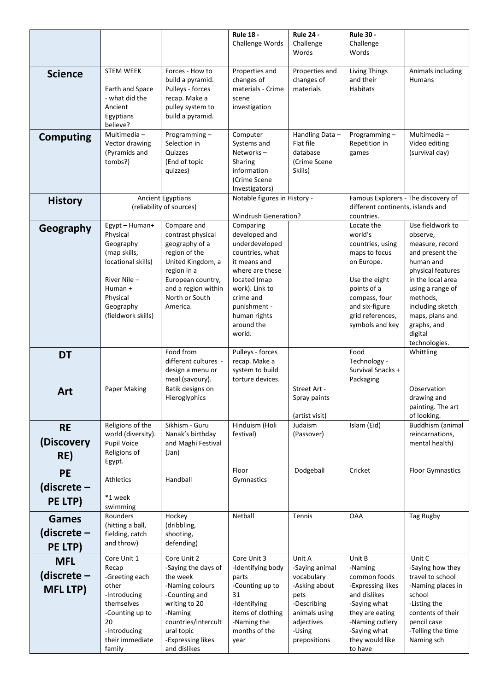|                  |                                        |                                          | <b>Rule 18 -</b>                  | <b>Rule 24 -</b>             | <b>Rule 30 -</b>                                |                                       |
|------------------|----------------------------------------|------------------------------------------|-----------------------------------|------------------------------|-------------------------------------------------|---------------------------------------|
|                  |                                        |                                          | Challenge Words                   | Challenge<br>Words           | Challenge<br>Words                              |                                       |
|                  |                                        |                                          |                                   |                              |                                                 |                                       |
| <b>Science</b>   | <b>STEM WEEK</b>                       | Forces - How to<br>build a pyramid.      | Properties and<br>changes of      | Properties and<br>changes of | <b>Living Things</b><br>and their               | Animals including<br><b>Humans</b>    |
|                  | Earth and Space                        | Pulleys - forces                         | materials - Crime                 | materials                    | Habitats                                        |                                       |
|                  | - what did the                         | recap. Make a                            | scene                             |                              |                                                 |                                       |
|                  | Ancient<br>Egyptians                   | pulley system to<br>build a pyramid.     | investigation                     |                              |                                                 |                                       |
|                  | believe?                               |                                          |                                   |                              |                                                 |                                       |
| <b>Computing</b> | Multimedia-                            | Programming-                             | Computer                          | Handling Data-               | Programming-                                    | Multimedia-                           |
|                  | Vector drawing<br>(Pyramids and        | Selection in<br>Quizzes                  | Systems and<br>Networks-          | Flat file<br>database        | Repetition in<br>games                          | Video editing<br>(survival day)       |
|                  | tombs?)                                | (End of topic                            | Sharing                           | (Crime Scene                 |                                                 |                                       |
|                  |                                        | quizzes)                                 | information                       | Skills)                      |                                                 |                                       |
|                  |                                        |                                          | (Crime Scene<br>Investigators)    |                              |                                                 |                                       |
| <b>History</b>   | <b>Ancient Egyptians</b>               |                                          | Notable figures in History -      |                              | Famous Explorers - The discovery of             |                                       |
|                  | (reliability of sources)               |                                          | <b>Windrush Generation?</b>       |                              | different continents, islands and<br>countries. |                                       |
|                  | Egypt - Human+                         | Compare and                              | Comparing                         |                              | Locate the                                      | Use fieldwork to                      |
| Geography        | Physical                               | contrast physical                        | developed and                     |                              | world's                                         | observe,                              |
|                  | Geography                              | geography of a                           | underdeveloped<br>countries, what |                              | countries, using                                | measure, record<br>and present the    |
|                  | (map skills,<br>locational skills)     | region of the<br>United Kingdom, a       | it means and                      |                              | maps to focus<br>on Europe.                     | human and                             |
|                  |                                        | region in a                              | where are these                   |                              |                                                 | physical features                     |
|                  | River Nile -<br>Human +                | European country,<br>and a region within | located (map<br>work). Link to    |                              | Use the eight<br>points of a                    | in the local area<br>using a range of |
|                  | Physical                               | North or South                           | crime and                         |                              | compass, four                                   | methods,                              |
|                  | Geography                              | America.                                 | punishment -                      |                              | and six-figure                                  | including sketch                      |
|                  | (fieldwork skills)                     |                                          | human rights<br>around the        |                              | grid references,                                | maps, plans and                       |
|                  |                                        |                                          | world.                            |                              | symbols and key                                 | graphs, and<br>digital                |
|                  |                                        |                                          |                                   |                              |                                                 | technologies.                         |
| <b>DT</b>        |                                        | Food from<br>different cultures -        | Pulleys - forces<br>recap. Make a |                              | Food<br>Technology -                            | Whittling                             |
|                  |                                        | design a menu or                         | system to build                   |                              | Survival Snacks +                               |                                       |
|                  |                                        | meal (savoury).                          | torture devices.                  |                              | Packaging                                       |                                       |
| Art              | Paper Making                           | Batik designs on<br>Hieroglyphics        |                                   | Street Art -<br>Spray paints |                                                 | Observation<br>drawing and            |
|                  |                                        |                                          |                                   |                              |                                                 | painting. The art                     |
|                  |                                        |                                          |                                   | (artist visit)               |                                                 | of looking.                           |
| <b>RE</b>        | Religions of the<br>world (diversity). | Sikhism - Guru<br>Nanak's birthday       | Hinduism (Holi<br>festival)       | Judaism<br>(Passover)        | Islam (Eid)                                     | Buddhism (animal<br>reincarnations,   |
| (Discovery       | Pupil Voice                            | and Maghi Festival                       |                                   |                              |                                                 | mental health)                        |
| RE)              | Religions of                           | (Jan)                                    |                                   |                              |                                                 |                                       |
| <b>PE</b>        | Egypt.                                 |                                          | Floor                             | Dodgeball                    | Cricket                                         | <b>Floor Gymnastics</b>               |
| (discrete $-$    | <b>Athletics</b>                       | Handball                                 | Gymnastics                        |                              |                                                 |                                       |
|                  | *1 week                                |                                          |                                   |                              |                                                 |                                       |
| PE LTP)          | swimming                               |                                          |                                   |                              |                                                 |                                       |
| <b>Games</b>     | Rounders<br>(hitting a ball,           | Hockey<br>(dribbling,                    | Netball                           | Tennis                       | <b>OAA</b>                                      | Tag Rugby                             |
| (discrete –      | fielding, catch                        | shooting,                                |                                   |                              |                                                 |                                       |
| PE LTP)          | and throw)                             | defending)                               |                                   |                              |                                                 |                                       |
| <b>MFL</b>       | Core Unit 1                            | Core Unit 2                              | Core Unit 3                       | Unit A                       | Unit B                                          | Unit C                                |
|                  | Recap                                  | -Saying the days of                      | -Identifying body                 | -Saying animal               | -Naming                                         | -Saying how they                      |
| (discrete $-$    | -Greeting each<br>other                | the week<br>-Naming colours              | parts<br>-Counting up to          | vocabulary<br>-Asking about  | common foods<br>-Expressing likes               | travel to school<br>-Naming places in |
| <b>MFL LTP)</b>  | -Introducing                           | -Counting and                            | 31                                | pets                         | and dislikes                                    | school                                |
|                  | themselves                             | writing to 20                            | -Identifying                      | -Describing                  | -Saying what                                    | -Listing the                          |
|                  | -Counting up to<br>20                  | -Naming<br>countries/intercult           | items of clothing<br>-Naming the  | animals using<br>adjectives  | they are eating<br>-Naming cutlery              | contents of their<br>pencil case      |
|                  | -Introducing                           | ural topic                               | months of the                     | -Using                       | -Saying what                                    | -Telling the time                     |
|                  | their immediate                        | -Expressing likes                        | year                              | prepositions                 | they would like                                 | Naming sch                            |
|                  | family                                 | and dislikes                             |                                   |                              | to have                                         |                                       |